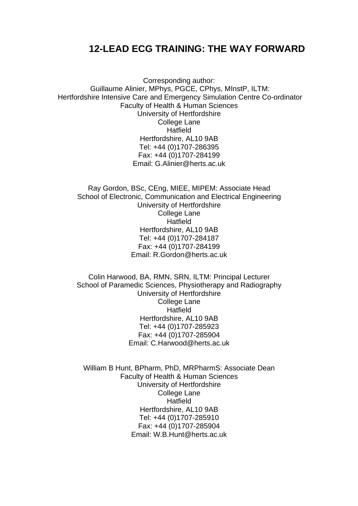# **12-LEAD ECG TRAINING: THE WAY FORWARD**

Corresponding author: Guillaume Alinier, MPhys, PGCE, CPhys, MInstP, ILTM: Hertfordshire Intensive Care and Emergency Simulation Centre Co-ordinator Faculty of Health & Human Sciences University of Hertfordshire College Lane Hatfield Hertfordshire, AL10 9AB Tel: +44 (0)1707-286395 Fax: +44 (0)1707-284199 Email: G.Alinier@herts.ac.uk

Ray Gordon, BSc, CEng, MIEE, MIPEM: Associate Head School of Electronic, Communication and Electrical Engineering University of Hertfordshire College Lane Hatfield Hertfordshire, AL10 9AB Tel: +44 (0)1707-284187 Fax: +44 (0)1707-284199 Email: R.Gordon@herts.ac.uk

Colin Harwood, BA, RMN, SRN, ILTM: Principal Lecturer School of Paramedic Sciences, Physiotherapy and Radiography University of Hertfordshire College Lane Hatfield Hertfordshire, AL10 9AB Tel: +44 (0)1707-285923 Fax: +44 (0)1707-285904 Email: C.Harwood@herts.ac.uk

William B Hunt, BPharm, PhD, MRPharmS: Associate Dean Faculty of Health & Human Sciences University of Hertfordshire College Lane **Hatfield** Hertfordshire, AL10 9AB Tel: +44 (0)1707-285910 Fax: +44 (0)1707-285904 Email: W.B.Hunt@herts.ac.uk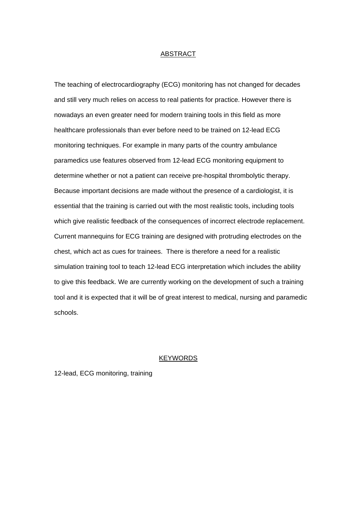#### ABSTRACT

The teaching of electrocardiography (ECG) monitoring has not changed for decades and still very much relies on access to real patients for practice. However there is nowadays an even greater need for modern training tools in this field as more healthcare professionals than ever before need to be trained on 12-lead ECG monitoring techniques. For example in many parts of the country ambulance paramedics use features observed from 12-lead ECG monitoring equipment to determine whether or not a patient can receive pre-hospital thrombolytic therapy. Because important decisions are made without the presence of a cardiologist, it is essential that the training is carried out with the most realistic tools, including tools which give realistic feedback of the consequences of incorrect electrode replacement. Current mannequins for ECG training are designed with protruding electrodes on the chest, which act as cues for trainees. There is therefore a need for a realistic simulation training tool to teach 12-lead ECG interpretation which includes the ability to give this feedback. We are currently working on the development of such a training tool and it is expected that it will be of great interest to medical, nursing and paramedic schools.

# **KEYWORDS**

12-lead, ECG monitoring, training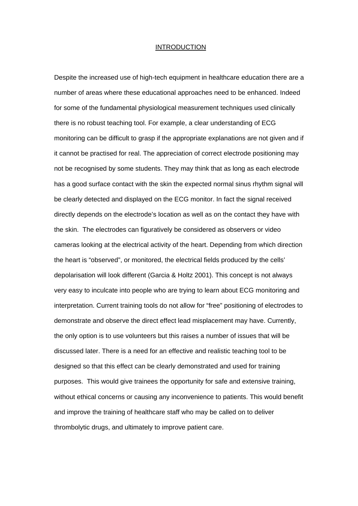#### INTRODUCTION

Despite the increased use of high-tech equipment in healthcare education there are a number of areas where these educational approaches need to be enhanced. Indeed for some of the fundamental physiological measurement techniques used clinically there is no robust teaching tool. For example, a clear understanding of ECG monitoring can be difficult to grasp if the appropriate explanations are not given and if it cannot be practised for real. The appreciation of correct electrode positioning may not be recognised by some students. They may think that as long as each electrode has a good surface contact with the skin the expected normal sinus rhythm signal will be clearly detected and displayed on the ECG monitor. In fact the signal received directly depends on the electrode's location as well as on the contact they have with the skin. The electrodes can figuratively be considered as observers or video cameras looking at the electrical activity of the heart. Depending from which direction the heart is "observed", or monitored, the electrical fields produced by the cells' depolarisation will look different (Garcia & Holtz 2001). This concept is not always very easy to inculcate into people who are trying to learn about ECG monitoring and interpretation. Current training tools do not allow for "free" positioning of electrodes to demonstrate and observe the direct effect lead misplacement may have. Currently, the only option is to use volunteers but this raises a number of issues that will be discussed later. There is a need for an effective and realistic teaching tool to be designed so that this effect can be clearly demonstrated and used for training purposes. This would give trainees the opportunity for safe and extensive training, without ethical concerns or causing any inconvenience to patients. This would benefit and improve the training of healthcare staff who may be called on to deliver thrombolytic drugs, and ultimately to improve patient care.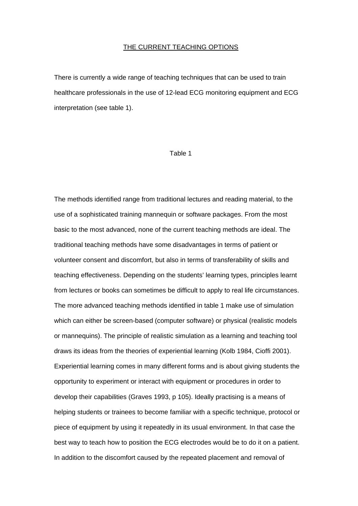# THE CURRENT TEACHING OPTIONS

There is currently a wide range of teaching techniques that can be used to train healthcare professionals in the use of 12-lead ECG monitoring equipment and ECG interpretation (see table 1).

#### Table 1

The methods identified range from traditional lectures and reading material, to the use of a sophisticated training mannequin or software packages. From the most basic to the most advanced, none of the current teaching methods are ideal. The traditional teaching methods have some disadvantages in terms of patient or volunteer consent and discomfort, but also in terms of transferability of skills and teaching effectiveness. Depending on the students' learning types, principles learnt from lectures or books can sometimes be difficult to apply to real life circumstances. The more advanced teaching methods identified in table 1 make use of simulation which can either be screen-based (computer software) or physical (realistic models or mannequins). The principle of realistic simulation as a learning and teaching tool draws its ideas from the theories of experiential learning (Kolb 1984, Cioffi 2001). Experiential learning comes in many different forms and is about giving students the opportunity to experiment or interact with equipment or procedures in order to develop their capabilities (Graves 1993, p 105). Ideally practising is a means of helping students or trainees to become familiar with a specific technique, protocol or piece of equipment by using it repeatedly in its usual environment. In that case the best way to teach how to position the ECG electrodes would be to do it on a patient. In addition to the discomfort caused by the repeated placement and removal of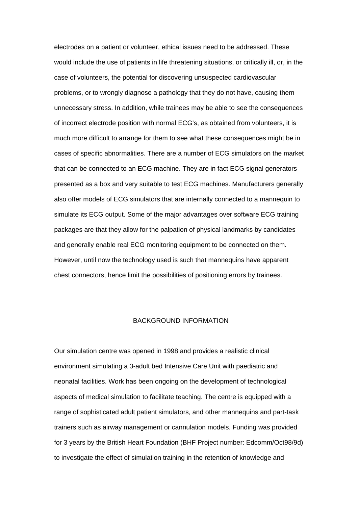electrodes on a patient or volunteer, ethical issues need to be addressed. These would include the use of patients in life threatening situations, or critically ill, or, in the case of volunteers, the potential for discovering unsuspected cardiovascular problems, or to wrongly diagnose a pathology that they do not have, causing them unnecessary stress. In addition, while trainees may be able to see the consequences of incorrect electrode position with normal ECG's, as obtained from volunteers, it is much more difficult to arrange for them to see what these consequences might be in cases of specific abnormalities. There are a number of ECG simulators on the market that can be connected to an ECG machine. They are in fact ECG signal generators presented as a box and very suitable to test ECG machines. Manufacturers generally also offer models of ECG simulators that are internally connected to a mannequin to simulate its ECG output. Some of the major advantages over software ECG training packages are that they allow for the palpation of physical landmarks by candidates and generally enable real ECG monitoring equipment to be connected on them. However, until now the technology used is such that mannequins have apparent chest connectors, hence limit the possibilities of positioning errors by trainees.

## BACKGROUND INFORMATION

Our simulation centre was opened in 1998 and provides a realistic clinical environment simulating a 3-adult bed Intensive Care Unit with paediatric and neonatal facilities. Work has been ongoing on the development of technological aspects of medical simulation to facilitate teaching. The centre is equipped with a range of sophisticated adult patient simulators, and other mannequins and part-task trainers such as airway management or cannulation models. Funding was provided for 3 years by the British Heart Foundation (BHF Project number: Edcomm/Oct98/9d) to investigate the effect of simulation training in the retention of knowledge and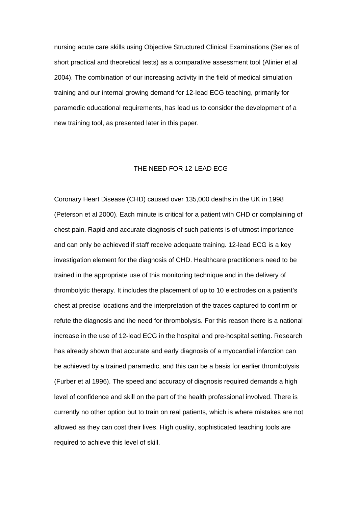nursing acute care skills using Objective Structured Clinical Examinations (Series of short practical and theoretical tests) as a comparative assessment tool (Alinier et al 2004). The combination of our increasing activity in the field of medical simulation training and our internal growing demand for 12-lead ECG teaching, primarily for paramedic educational requirements, has lead us to consider the development of a new training tool, as presented later in this paper.

# THE NEED FOR 12-LEAD ECG

Coronary Heart Disease (CHD) caused over 135,000 deaths in the UK in 1998 (Peterson et al 2000). Each minute is critical for a patient with CHD or complaining of chest pain. Rapid and accurate diagnosis of such patients is of utmost importance and can only be achieved if staff receive adequate training. 12-lead ECG is a key investigation element for the diagnosis of CHD. Healthcare practitioners need to be trained in the appropriate use of this monitoring technique and in the delivery of thrombolytic therapy. It includes the placement of up to 10 electrodes on a patient's chest at precise locations and the interpretation of the traces captured to confirm or refute the diagnosis and the need for thrombolysis. For this reason there is a national increase in the use of 12-lead ECG in the hospital and pre-hospital setting. Research has already shown that accurate and early diagnosis of a myocardial infarction can be achieved by a trained paramedic, and this can be a basis for earlier thrombolysis (Furber et al 1996). The speed and accuracy of diagnosis required demands a high level of confidence and skill on the part of the health professional involved. There is currently no other option but to train on real patients, which is where mistakes are not allowed as they can cost their lives. High quality, sophisticated teaching tools are required to achieve this level of skill.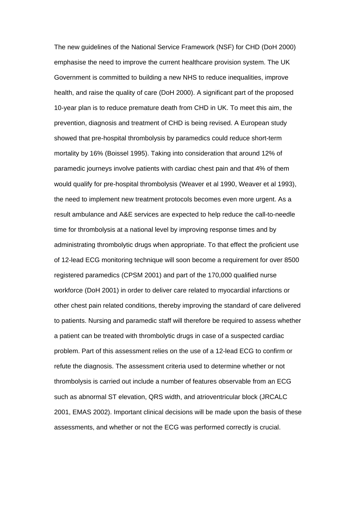The new guidelines of the National Service Framework (NSF) for CHD (DoH 2000) emphasise the need to improve the current healthcare provision system. The UK Government is committed to building a new NHS to reduce inequalities, improve health, and raise the quality of care (DoH 2000). A significant part of the proposed 10-year plan is to reduce premature death from CHD in UK. To meet this aim, the prevention, diagnosis and treatment of CHD is being revised. A European study showed that pre-hospital thrombolysis by paramedics could reduce short-term mortality by 16% (Boissel 1995). Taking into consideration that around 12% of paramedic journeys involve patients with cardiac chest pain and that 4% of them would qualify for pre-hospital thrombolysis (Weaver et al 1990, Weaver et al 1993), the need to implement new treatment protocols becomes even more urgent. As a result ambulance and A&E services are expected to help reduce the call-to-needle time for thrombolysis at a national level by improving response times and by administrating thrombolytic drugs when appropriate. To that effect the proficient use of 12-lead ECG monitoring technique will soon become a requirement for over 8500 registered paramedics (CPSM 2001) and part of the 170,000 qualified nurse workforce (DoH 2001) in order to deliver care related to myocardial infarctions or other chest pain related conditions, thereby improving the standard of care delivered to patients. Nursing and paramedic staff will therefore be required to assess whether a patient can be treated with thrombolytic drugs in case of a suspected cardiac problem. Part of this assessment relies on the use of a 12-lead ECG to confirm or refute the diagnosis. The assessment criteria used to determine whether or not thrombolysis is carried out include a number of features observable from an ECG such as abnormal ST elevation, QRS width, and atrioventricular block (JRCALC 2001, EMAS 2002). Important clinical decisions will be made upon the basis of these assessments, and whether or not the ECG was performed correctly is crucial.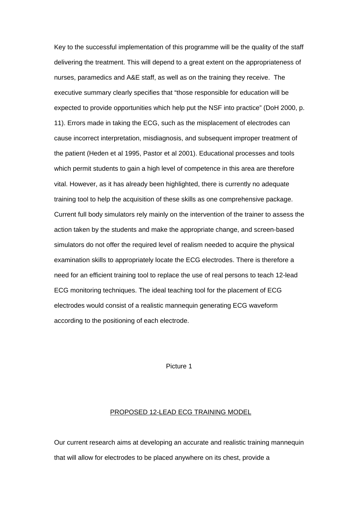Key to the successful implementation of this programme will be the quality of the staff delivering the treatment. This will depend to a great extent on the appropriateness of nurses, paramedics and A&E staff, as well as on the training they receive. The executive summary clearly specifies that "those responsible for education will be expected to provide opportunities which help put the NSF into practice" (DoH 2000, p. 11). Errors made in taking the ECG, such as the misplacement of electrodes can cause incorrect interpretation, misdiagnosis, and subsequent improper treatment of the patient (Heden et al 1995, Pastor et al 2001). Educational processes and tools which permit students to gain a high level of competence in this area are therefore vital. However, as it has already been highlighted, there is currently no adequate training tool to help the acquisition of these skills as one comprehensive package. Current full body simulators rely mainly on the intervention of the trainer to assess the action taken by the students and make the appropriate change, and screen-based simulators do not offer the required level of realism needed to acquire the physical examination skills to appropriately locate the ECG electrodes. There is therefore a need for an efficient training tool to replace the use of real persons to teach 12-lead ECG monitoring techniques. The ideal teaching tool for the placement of ECG electrodes would consist of a realistic mannequin generating ECG waveform according to the positioning of each electrode.

Picture 1

# PROPOSED 12-LEAD ECG TRAINING MODEL

Our current research aims at developing an accurate and realistic training mannequin that will allow for electrodes to be placed anywhere on its chest, provide a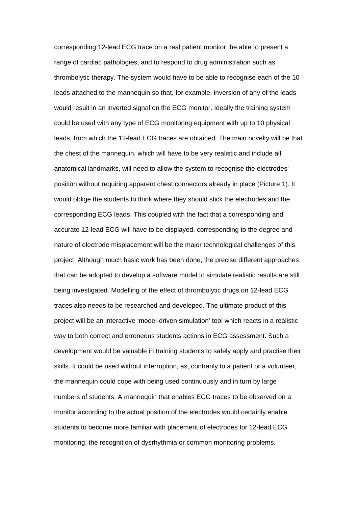corresponding 12-lead ECG trace on a real patient monitor, be able to present a range of cardiac pathologies, and to respond to drug administration such as thrombolytic therapy. The system would have to be able to recognise each of the 10 leads attached to the mannequin so that, for example, inversion of any of the leads would result in an inverted signal on the ECG monitor. Ideally the training system could be used with any type of ECG monitoring equipment with up to 10 physical leads, from which the 12-lead ECG traces are obtained. The main novelty will be that the chest of the mannequin, which will have to be very realistic and include all anatomical landmarks, will need to allow the system to recognise the electrodes' position without requiring apparent chest connectors already in place (Picture 1). It would oblige the students to think where they should stick the electrodes and the corresponding ECG leads. This coupled with the fact that a corresponding and accurate 12-lead ECG will have to be displayed, corresponding to the degree and nature of electrode misplacement will be the major technological challenges of this project. Although much basic work has been done, the precise different approaches that can be adopted to develop a software model to simulate realistic results are still being investigated. Modelling of the effect of thrombolytic drugs on 12-lead ECG traces also needs to be researched and developed. The ultimate product of this project will be an interactive 'model-driven simulation' tool which reacts in a realistic way to both correct and erroneous students actions in ECG assessment. Such a development would be valuable in training students to safely apply and practise their skills. It could be used without interruption, as, contrarily to a patient or a volunteer, the mannequin could cope with being used continuously and in turn by large numbers of students. A mannequin that enables ECG traces to be observed on a monitor according to the actual position of the electrodes would certainly enable students to become more familiar with placement of electrodes for 12-lead ECG monitoring, the recognition of dysrhythmia or common monitoring problems.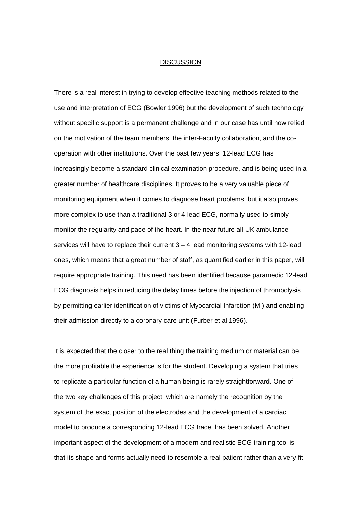#### **DISCUSSION**

There is a real interest in trying to develop effective teaching methods related to the use and interpretation of ECG (Bowler 1996) but the development of such technology without specific support is a permanent challenge and in our case has until now relied on the motivation of the team members, the inter-Faculty collaboration, and the cooperation with other institutions. Over the past few years, 12-lead ECG has increasingly become a standard clinical examination procedure, and is being used in a greater number of healthcare disciplines. It proves to be a very valuable piece of monitoring equipment when it comes to diagnose heart problems, but it also proves more complex to use than a traditional 3 or 4-lead ECG, normally used to simply monitor the regularity and pace of the heart. In the near future all UK ambulance services will have to replace their current  $3 - 4$  lead monitoring systems with 12-lead ones, which means that a great number of staff, as quantified earlier in this paper, will require appropriate training. This need has been identified because paramedic 12-lead ECG diagnosis helps in reducing the delay times before the injection of thrombolysis by permitting earlier identification of victims of Myocardial Infarction (MI) and enabling their admission directly to a coronary care unit (Furber et al 1996).

It is expected that the closer to the real thing the training medium or material can be, the more profitable the experience is for the student. Developing a system that tries to replicate a particular function of a human being is rarely straightforward. One of the two key challenges of this project, which are namely the recognition by the system of the exact position of the electrodes and the development of a cardiac model to produce a corresponding 12-lead ECG trace, has been solved. Another important aspect of the development of a modern and realistic ECG training tool is that its shape and forms actually need to resemble a real patient rather than a very fit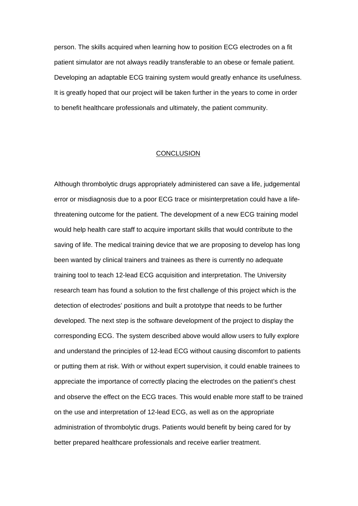person. The skills acquired when learning how to position ECG electrodes on a fit patient simulator are not always readily transferable to an obese or female patient. Developing an adaptable ECG training system would greatly enhance its usefulness. It is greatly hoped that our project will be taken further in the years to come in order to benefit healthcare professionals and ultimately, the patient community.

## **CONCLUSION**

Although thrombolytic drugs appropriately administered can save a life, judgemental error or misdiagnosis due to a poor ECG trace or misinterpretation could have a lifethreatening outcome for the patient. The development of a new ECG training model would help health care staff to acquire important skills that would contribute to the saving of life. The medical training device that we are proposing to develop has long been wanted by clinical trainers and trainees as there is currently no adequate training tool to teach 12-lead ECG acquisition and interpretation. The University research team has found a solution to the first challenge of this project which is the detection of electrodes' positions and built a prototype that needs to be further developed. The next step is the software development of the project to display the corresponding ECG. The system described above would allow users to fully explore and understand the principles of 12-lead ECG without causing discomfort to patients or putting them at risk. With or without expert supervision, it could enable trainees to appreciate the importance of correctly placing the electrodes on the patient's chest and observe the effect on the ECG traces. This would enable more staff to be trained on the use and interpretation of 12-lead ECG, as well as on the appropriate administration of thrombolytic drugs. Patients would benefit by being cared for by better prepared healthcare professionals and receive earlier treatment.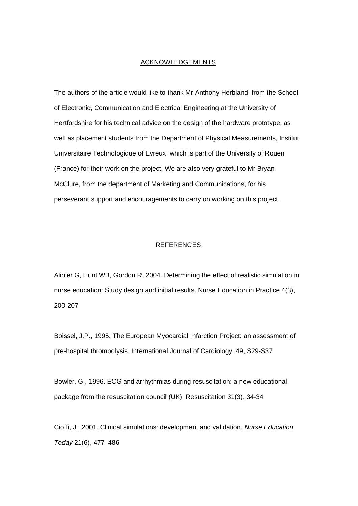## ACKNOWLEDGEMENTS

The authors of the article would like to thank Mr Anthony Herbland, from the School of Electronic, Communication and Electrical Engineering at the University of Hertfordshire for his technical advice on the design of the hardware prototype, as well as placement students from the Department of Physical Measurements, Institut Universitaire Technologique of Evreux, which is part of the University of Rouen (France) for their work on the project. We are also very grateful to Mr Bryan McClure, from the department of Marketing and Communications, for his perseverant support and encouragements to carry on working on this project.

## REFERENCES

Alinier G, Hunt WB, Gordon R, 2004. Determining the effect of realistic simulation in nurse education: Study design and initial results. Nurse Education in Practice 4(3), 200-207

Boissel, J.P., 1995. The European Myocardial Infarction Project: an assessment of pre-hospital thrombolysis. International Journal of Cardiology. 49, S29-S37

Bowler, G., 1996. ECG and arrhythmias during resuscitation: a new educational package from the resuscitation council (UK). Resuscitation 31(3), 34-34

Cioffi, J., 2001. Clinical simulations: development and validation. *Nurse Education Today* 21(6), 477–486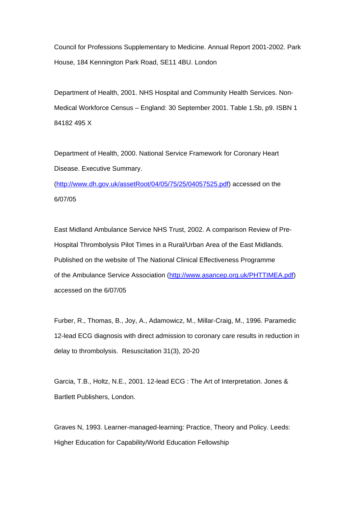Council for Professions Supplementary to Medicine. Annual Report 2001-2002. Park House, 184 Kennington Park Road, SE11 4BU. London

Department of Health, 2001. NHS Hospital and Community Health Services. Non-Medical Workforce Census – England: 30 September 2001. Table 1.5b, p9. ISBN 1 84182 495 X

Department of Health, 2000. National Service Framework for Coronary Heart Disease. Executive Summary.

(http://www.dh.gov.uk/assetRoot/04/05/75/25/04057525.pdf) accessed on the 6/07/05

East Midland Ambulance Service NHS Trust, 2002. A comparison Review of Pre-Hospital Thrombolysis Pilot Times in a Rural/Urban Area of the East Midlands. Published on the website of The National Clinical Effectiveness Programme of the Ambulance Service Association (http://www.asancep.org.uk/PHTTIMEA.pdf) accessed on the 6/07/05

Furber, R., Thomas, B., Joy, A., Adamowicz, M., Millar-Craig, M., 1996. Paramedic 12-lead ECG diagnosis with direct admission to coronary care results in reduction in delay to thrombolysis. Resuscitation 31(3), 20-20

Garcia, T.B., Holtz, N.E., 2001. 12-lead ECG : The Art of Interpretation. Jones & Bartlett Publishers, London.

Graves N, 1993. Learner-managed-learning: Practice, Theory and Policy. Leeds: Higher Education for Capability/World Education Fellowship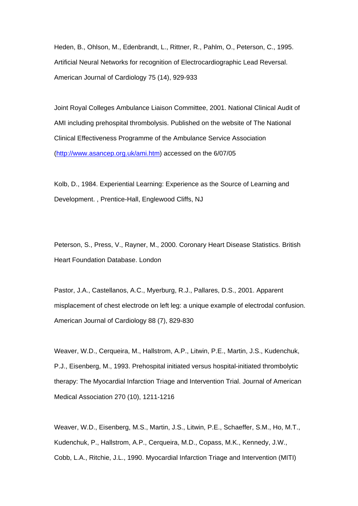Heden, B., Ohlson, M., Edenbrandt, L., Rittner, R., Pahlm, O., Peterson, C., 1995. Artificial Neural Networks for recognition of Electrocardiographic Lead Reversal. American Journal of Cardiology 75 (14), 929-933

Joint Royal Colleges Ambulance Liaison Committee, 2001. National Clinical Audit of AMI including prehospital thrombolysis. Published on the website of The National Clinical Effectiveness Programme of the Ambulance Service Association (http://www.asancep.org.uk/ami.htm) accessed on the 6/07/05

Kolb, D., 1984. Experiential Learning: Experience as the Source of Learning and Development. , Prentice-Hall, Englewood Cliffs, NJ

Peterson, S., Press, V., Rayner, M., 2000. Coronary Heart Disease Statistics. British Heart Foundation Database. London

Pastor, J.A., Castellanos, A.C., Myerburg, R.J., Pallares, D.S., 2001. Apparent misplacement of chest electrode on left leg: a unique example of electrodal confusion. American Journal of Cardiology 88 (7), 829-830

Weaver, W.D., Cerqueira, M., Hallstrom, A.P., Litwin, P.E., Martin, J.S., Kudenchuk, P.J., Eisenberg, M., 1993. Prehospital initiated versus hospital-initiated thrombolytic therapy: The Myocardial Infarction Triage and Intervention Trial. Journal of American Medical Association 270 (10), 1211-1216

Weaver, W.D., Eisenberg, M.S., Martin, J.S., Litwin, P.E., Schaeffer, S.M., Ho, M.T., Kudenchuk, P., Hallstrom, A.P., Cerqueira, M.D., Copass, M.K., Kennedy, J.W., Cobb, L.A., Ritchie, J.L., 1990. Myocardial Infarction Triage and Intervention (MITI)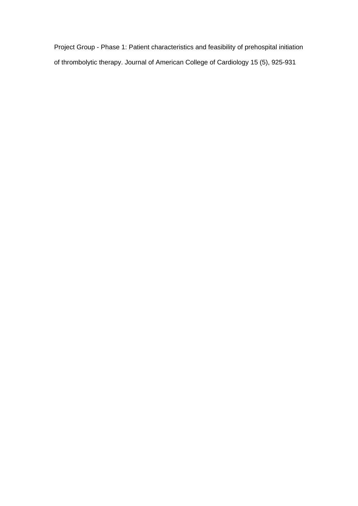Project Group - Phase 1: Patient characteristics and feasibility of prehospital initiation of thrombolytic therapy. Journal of American College of Cardiology 15 (5), 925-931